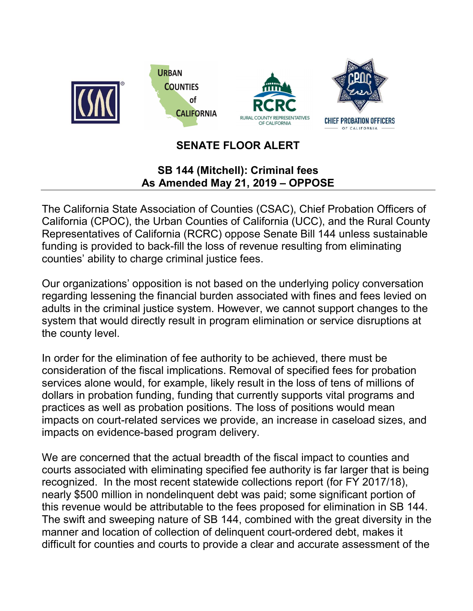

## SENATE FLOOR ALERT

## SB 144 (Mitchell): Criminal fees As Amended May 21, 2019 – OPPOSE

The California State Association of Counties (CSAC), Chief Probation Officers of California (CPOC), the Urban Counties of California (UCC), and the Rural County Representatives of California (RCRC) oppose Senate Bill 144 unless sustainable funding is provided to back-fill the loss of revenue resulting from eliminating counties' ability to charge criminal justice fees.

Our organizations' opposition is not based on the underlying policy conversation regarding lessening the financial burden associated with fines and fees levied on adults in the criminal justice system. However, we cannot support changes to the system that would directly result in program elimination or service disruptions at the county level.

In order for the elimination of fee authority to be achieved, there must be consideration of the fiscal implications. Removal of specified fees for probation services alone would, for example, likely result in the loss of tens of millions of dollars in probation funding, funding that currently supports vital programs and practices as well as probation positions. The loss of positions would mean impacts on court-related services we provide, an increase in caseload sizes, and impacts on evidence-based program delivery.

We are concerned that the actual breadth of the fiscal impact to counties and courts associated with eliminating specified fee authority is far larger that is being recognized. In the most recent statewide collections report (for FY 2017/18), nearly \$500 million in nondelinquent debt was paid; some significant portion of this revenue would be attributable to the fees proposed for elimination in SB 144. The swift and sweeping nature of SB 144, combined with the great diversity in the manner and location of collection of delinquent court-ordered debt, makes it difficult for counties and courts to provide a clear and accurate assessment of the